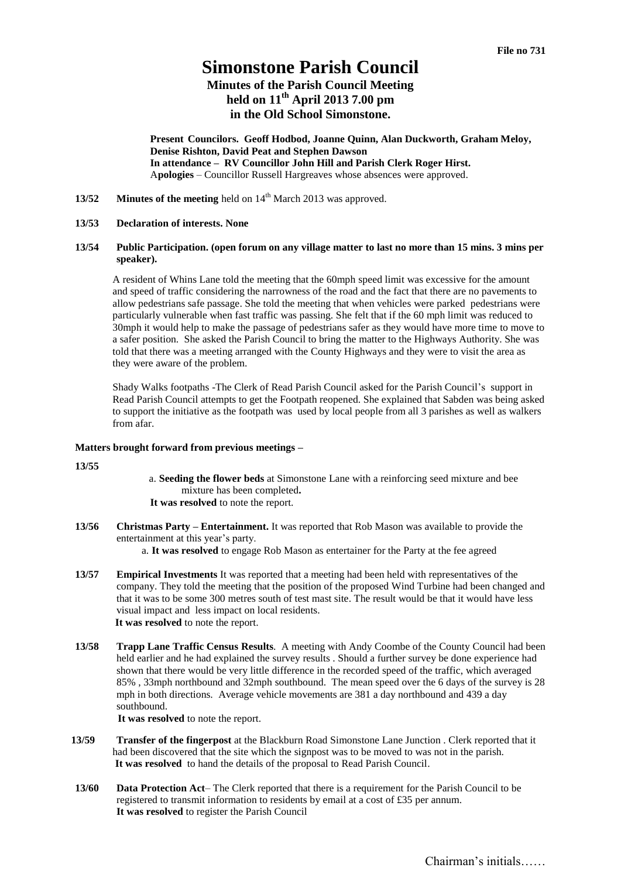# **Simonstone Parish Council**

## **Minutes of the Parish Council Meeting held on 11th April 2013 7.00 pm in the Old School Simonstone.**

**Present Councilors. Geoff Hodbod, Joanne Quinn, Alan Duckworth, Graham Meloy, Denise Rishton, David Peat and Stephen Dawson In attendance – RV Councillor John Hill and Parish Clerk Roger Hirst.**  A**pologies** – Councillor Russell Hargreaves whose absences were approved.

**13/52 Minutes of the meeting** held on 14<sup>th</sup> March 2013 was approved.

#### **13/53 Declaration of interests. None**

#### **13/54 Public Participation. (open forum on any village matter to last no more than 15 mins. 3 mins per speaker).**

A resident of Whins Lane told the meeting that the 60mph speed limit was excessive for the amount and speed of traffic considering the narrowness of the road and the fact that there are no pavements to allow pedestrians safe passage. She told the meeting that when vehicles were parked pedestrians were particularly vulnerable when fast traffic was passing. She felt that if the 60 mph limit was reduced to 30mph it would help to make the passage of pedestrians safer as they would have more time to move to a safer position. She asked the Parish Council to bring the matter to the Highways Authority. She was told that there was a meeting arranged with the County Highways and they were to visit the area as they were aware of the problem.

Shady Walks footpaths -The Clerk of Read Parish Council asked for the Parish Council's support in Read Parish Council attempts to get the Footpath reopened. She explained that Sabden was being asked to support the initiative as the footpath was used by local people from all 3 parishes as well as walkers from afar.

#### **Matters brought forward from previous meetings –**

**13/55**

- a. **Seeding the flower beds** at Simonstone Lane with a reinforcing seed mixture and bee mixture has been completed**. It was resolved** to note the report.
- **13/56 Christmas Party – Entertainment.** It was reported that Rob Mason was available to provide the entertainment at this year's party.

a. **It was resolved** to engage Rob Mason as entertainer for the Party at the fee agreed

- **13/57 Empirical Investments** It was reported that a meeting had been held with representatives of the company. They told the meeting that the position of the proposed Wind Turbine had been changed and that it was to be some 300 metres south of test mast site. The result would be that it would have less visual impact and less impact on local residents. **It was resolved** to note the report.
- **13/58 Trapp Lane Traffic Census Results**. A meeting with Andy Coombe of the County Council had been held earlier and he had explained the survey results . Should a further survey be done experience had shown that there would be very little difference in the recorded speed of the traffic, which averaged 85% , 33mph northbound and 32mph southbound. The mean speed over the 6 days of the survey is 28 mph in both directions. Average vehicle movements are 381 a day northbound and 439 a day southbound.

**It was resolved** to note the report.

- **13/59 Transfer of the fingerpost** at the Blackburn Road Simonstone Lane Junction . Clerk reported that it had been discovered that the site which the signpost was to be moved to was not in the parish. **It was resolved** to hand the details of the proposal to Read Parish Council.
- **13/60 Data Protection Act** The Clerk reported that there is a requirement for the Parish Council to be registered to transmit information to residents by email at a cost of £35 per annum. **It was resolved** to register the Parish Council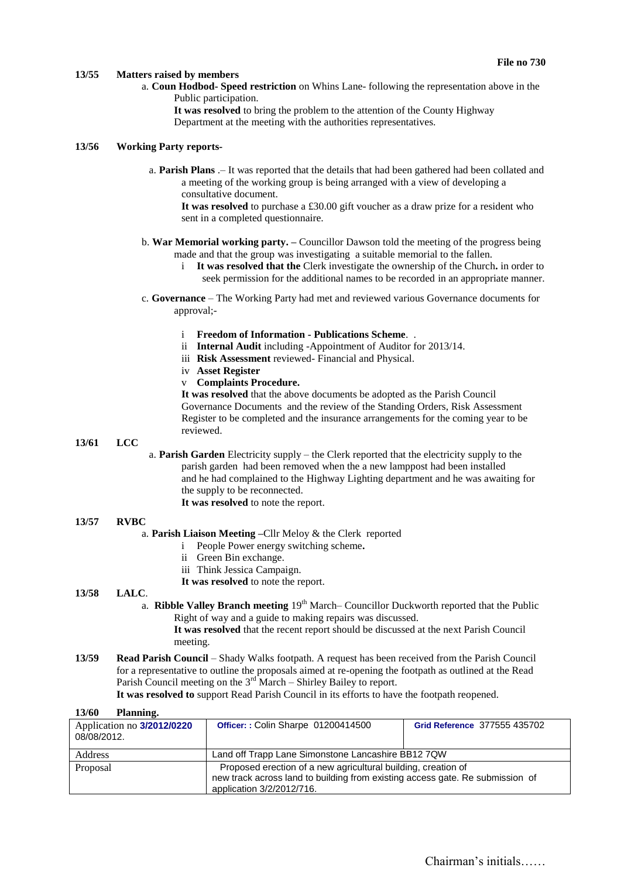#### **13/55 Matters raised by members**

a. **Coun Hodbod- Speed restriction** on Whins Lane- following the representation above in the Public participation.

**It was resolved** to bring the problem to the attention of the County Highway Department at the meeting with the authorities representatives.

#### **13/56 Working Party reports-**

a. **Parish Plans** .– It was reported that the details that had been gathered had been collated and a meeting of the working group is being arranged with a view of developing a consultative document.

**It was resolved** to purchase a £30.00 gift voucher as a draw prize for a resident who sent in a completed questionnaire.

- b. **War Memorial working party. –** Councillor Dawson told the meeting of the progress being made and that the group was investigating a suitable memorial to the fallen.
	- i **It was resolved that the** Clerk investigate the ownership of the Church**.** in order to seek permission for the additional names to be recorded in an appropriate manner.
- c. **Governance**  The Working Party had met and reviewed various Governance documents for approval;
	- i **Freedom of Information - Publications Scheme**. .
	- ii **Internal Audit** including -Appointment of Auditor for 2013/14.
	- iii **Risk Assessment** reviewed- Financial and Physical.
	- iv **Asset Register**
	- v **Complaints Procedure.**

**It was resolved** that the above documents be adopted as the Parish Council Governance Documents and the review of the Standing Orders, Risk Assessment Register to be completed and the insurance arrangements for the coming year to be reviewed.

#### **13/61 LCC**

a. **Parish Garden** Electricity supply – the Clerk reported that the electricity supply to the parish garden had been removed when the a new lamppost had been installed and he had complained to the Highway Lighting department and he was awaiting for the supply to be reconnected. **It was resolved** to note the report.

## **13/57 RVBC**

#### a. **Parish Liaison Meeting –**Cllr Meloy & the Clerk reported

- i People Power energy switching scheme**.**
- ii Green Bin exchange.
- iii Think Jessica Campaign.
- **It was resolved** to note the report.

#### **13/58 LALC**.

**13/60 Planning.**

a. **Ribble Valley Branch meeting** 19<sup>th</sup> March– Councillor Duckworth reported that the Public Right of way and a guide to making repairs was discussed.

**It was resolved** that the recent report should be discussed at the next Parish Council meeting.

**13/59 Read Parish Council** – Shady Walks footpath. A request has been received from the Parish Council for a representative to outline the proposals aimed at re-opening the footpath as outlined at the Read Parish Council meeting on the 3<sup>rd</sup> March – Shirley Bailey to report.

**It was resolved to** support Read Parish Council in its efforts to have the footpath reopened.

| 1 <i>3</i> /00<br>гіанніце.               |                                                                                                                                                                             |                              |
|-------------------------------------------|-----------------------------------------------------------------------------------------------------------------------------------------------------------------------------|------------------------------|
| Application no 3/2012/0220<br>08/08/2012. | <b>Officer:: Colin Sharpe 01200414500</b>                                                                                                                                   | Grid Reference 377555 435702 |
| <b>Address</b>                            | Land off Trapp Lane Simonstone Lancashire BB12 7QW                                                                                                                          |                              |
| Proposal                                  | Proposed erection of a new agricultural building, creation of<br>new track across land to building from existing access gate. Re submission of<br>application 3/2/2012/716. |                              |

### Chairman's initials……